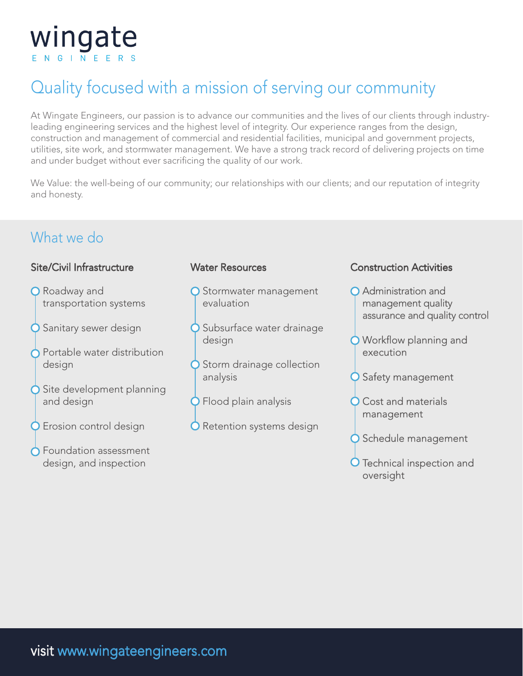

## Quality focused with a mission of serving our community

At Wingate Engineers, our passion is to advance our communities and the lives of our clients through industryleading engineering services and the highest level of integrity. Our experience ranges from the design, construction and management of commercial and residential facilities, municipal and government projects, utilities, site work, and stormwater management. We have a strong track record of delivering projects on time and under budget without ever sacrificing the quality of our work.

We Value: the well-being of our community; our relationships with our clients; and our reputation of integrity and honesty.

### What we do

#### Site/Civil Infrastructure

- **O** Roadway and transportation systems
- **O** Sanitary sewer design
- Portable water distribution design
- **○** Site development planning and design
- **O** Erosion control design
- **O** Foundation assessment design, and inspection

#### Water Resources

- O Stormwater management evaluation
- **O** Subsurface water drainage design
- **O** Storm drainage collection analysis
- **O** Flood plain analysis
- **O** Retention systems design

#### Construction Activities

- **O** Administration and management quality assurance and quality control
- O Workflow planning and execution
- **Q** Safety management
- O Cost and materials management
- O Schedule management
- **O** Technical inspection and oversight